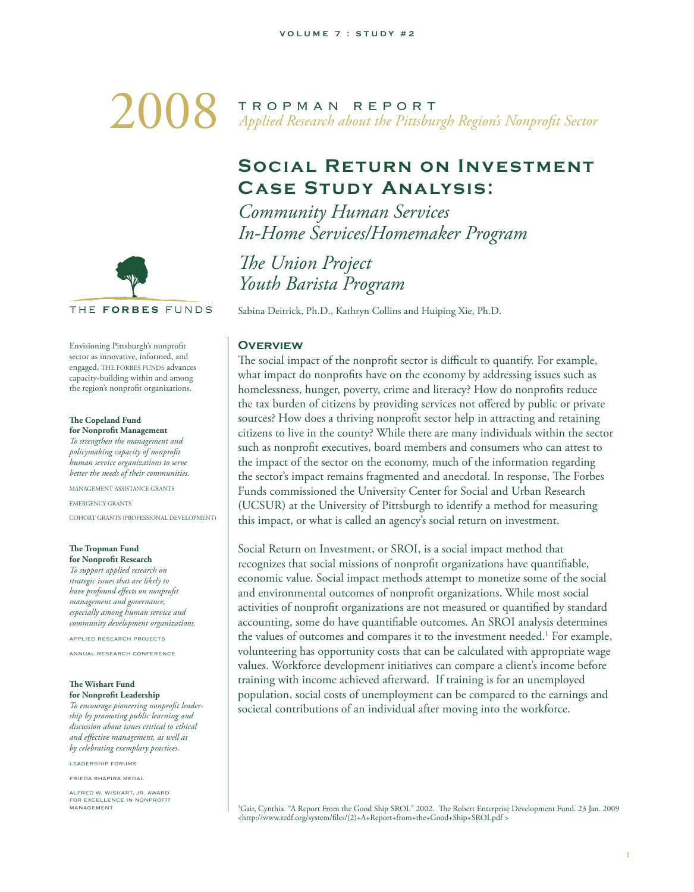# 2008 TROPMAN REPORT<br>Applied Research about the Pittsbu *Applied Research about the Pittsburgh Region's Nonprofi t Sector*

# **Social Return on Investment Case Study Analysis:**

*Community Human Services In-Home Services/Homemaker Program*

**The Union Project** *Youth Barista Program*

Sabina Deitrick, Ph.D., Kathryn Collins and Huiping Xie, Ph.D.

#### **OVERVIEW**

The social impact of the nonprofit sector is difficult to quantify. For example, what impact do nonprofits have on the economy by addressing issues such as homelessness, hunger, poverty, crime and literacy? How do nonprofits reduce the tax burden of citizens by providing services not offered by public or private sources? How does a thriving nonprofit sector help in attracting and retaining citizens to live in the county? While there are many individuals within the sector such as nonprofit executives, board members and consumers who can attest to the impact of the sector on the economy, much of the information regarding the sector's impact remains fragmented and anecdotal. In response, The Forbes Funds commissioned the University Center for Social and Urban Research (UCSUR) at the University of Pittsburgh to identify a method for measuring this impact, or what is called an agency's social return on investment.

Social Return on Investment, or SROI, is a social impact method that recognizes that social missions of nonprofit organizations have quantifiable, economic value. Social impact methods attempt to monetize some of the social and environmental outcomes of nonprofit organizations. While most social activities of nonprofit organizations are not measured or quantified by standard accounting, some do have quantifiable outcomes. An SROI analysis determines the values of outcomes and compares it to the investment needed.<sup>1</sup> For example, volunteering has opportunity costs that can be calculated with appropriate wage values. Workforce development initiatives can compare a client's income before training with income achieved afterward. If training is for an unemployed population, social costs of unemployment can be compared to the earnings and societal contributions of an individual after moving into the workforce.

<sup>1</sup>Gair, Cynthia. "A Report From the Good Ship SROI." 2002. The Robert Enterprise Development Fund. 23 Jan. 2009 <http://www.redf.org/system/files/(2)+A+Report+from+the+Good+Ship+SROI.pdf>



Envisioning Pittsburgh's nonprofit sector as innovative, informed, and engaged, THE FORBES FUNDS advances capacity-building within and among the region's nonprofit organizations.

#### **The Copeland Fund for Nonprofit Management**

*To strengthen the management and policymaking capacity of nonprofi t human service organizations to serve better the needs of their communities.*

MANAGEMENT ASSISTANCE GRANTS

EMERGENCY GRANTS

COHORT GRANTS (PROFESSIONAL DEVELOPMENT)

#### **The Tropman Fund for Nonprofit Research**

*To support applied research on strategic issues that are likely to have profound effects on nonprofit management and governance, especially among human service and community development organizations.*

APPLIED RESEARCH PROJECTS ANNUAL RESEARCH CONFERENCE

#### **The Wishart Fund** for Nonprofit Leadership

*To encourage pioneering nonprofi t leadership by promoting public learning and discussion about issues critical to ethical and eff ective management, as well as by celebrating exemplary practices.*

LEADERSHIP FORUMS

FRIEDA SHAPIRA MEDAL

ALFRED W. WISHART, JR. AWARD FOR EXCELLENCE IN NONPROFIT **MANAGEMENT**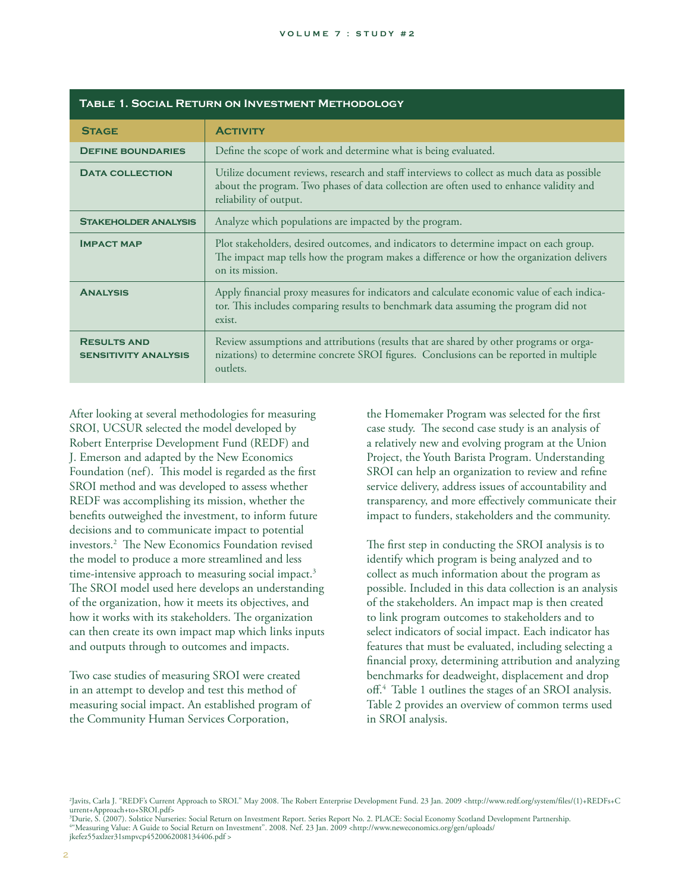|                                                   | TABLE 1. SOCIAL RETURN ON INVESTMENT METHODOLOGY                                                                                                                                                                 |
|---------------------------------------------------|------------------------------------------------------------------------------------------------------------------------------------------------------------------------------------------------------------------|
| <b>STAGE</b>                                      | <b>ACTIVITY</b>                                                                                                                                                                                                  |
| <b>DEFINE BOUNDARIES</b>                          | Define the scope of work and determine what is being evaluated.                                                                                                                                                  |
| <b>DATA COLLECTION</b>                            | Utilize document reviews, research and staff interviews to collect as much data as possible<br>about the program. Two phases of data collection are often used to enhance validity and<br>reliability of output. |
| <b>STAKEHOLDER ANALYSIS</b>                       | Analyze which populations are impacted by the program.                                                                                                                                                           |
| <b>IMPACT MAP</b>                                 | Plot stakeholders, desired outcomes, and indicators to determine impact on each group.<br>The impact map tells how the program makes a difference or how the organization delivers<br>on its mission.            |
| <b>ANALYSIS</b>                                   | Apply financial proxy measures for indicators and calculate economic value of each indica-<br>tor. This includes comparing results to benchmark data assuming the program did not<br>exist.                      |
| <b>RESULTS AND</b><br><b>SENSITIVITY ANALYSIS</b> | Review assumptions and attributions (results that are shared by other programs or orga-<br>nizations) to determine concrete SROI figures. Conclusions can be reported in multiple<br>outlets.                    |

After looking at several methodologies for measuring SROI, UCSUR selected the model developed by Robert Enterprise Development Fund (REDF) and J. Emerson and adapted by the New Economics Foundation (nef). This model is regarded as the first SROI method and was developed to assess whether REDF was accomplishing its mission, whether the benefits outweighed the investment, to inform future decisions and to communicate impact to potential investors.<sup>2</sup> The New Economics Foundation revised the model to produce a more streamlined and less time-intensive approach to measuring social impact.<sup>3</sup> The SROI model used here develops an understanding of the organization, how it meets its objectives, and how it works with its stakeholders. The organization can then create its own impact map which links inputs and outputs through to outcomes and impacts.

Two case studies of measuring SROI were created in an attempt to develop and test this method of measuring social impact. An established program of the Community Human Services Corporation,

the Homemaker Program was selected for the first case study. The second case study is an analysis of a relatively new and evolving program at the Union Project, the Youth Barista Program. Understanding SROI can help an organization to review and refine service delivery, address issues of accountability and transparency, and more effectively communicate their impact to funders, stakeholders and the community.

The first step in conducting the SROI analysis is to identify which program is being analyzed and to collect as much information about the program as possible. Included in this data collection is an analysis of the stakeholders. An impact map is then created to link program outcomes to stakeholders and to select indicators of social impact. Each indicator has features that must be evaluated, including selecting a financial proxy, determining attribution and analyzing benchmarks for deadweight, displacement and drop off.<sup>4</sup> Table 1 outlines the stages of an SROI analysis. Table 2 provides an overview of common terms used in SROI analysis.

-<br>- Zavits, Carla J. "REDF's Current Approach to SROI." May 2008. The Robert Enterprise Development Fund. 23 Jan. 2009 <http://www.redf.org/system/files/(1)+REDFs+C urrent+Approach+to+SROI.pdf>

<sup>3</sup>Durie, S. (2007). Solstice Nurseries: Social Return on Investment Report. Series Report No. 2. PLACE: Social Economy Scotland Development Partnership.<br>""Measuring Value: A Guide to Social Return on Investment". 2008. Ne jkefez55axlzer31smpvcp4520062008134406.pdf >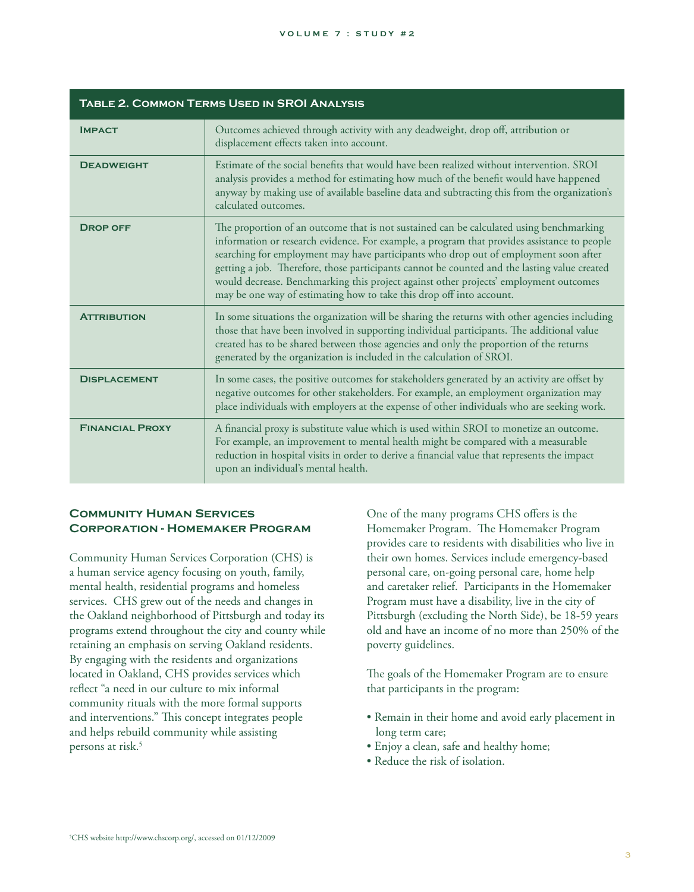#### **VOLUME 7 : STUDY #2**

|                        | <b>TABLE 2. COMMON TERMS USED IN SROI ANALYSIS</b>                                                                                                                                                                                                                                                                                                                                                                                                                                                                                              |
|------------------------|-------------------------------------------------------------------------------------------------------------------------------------------------------------------------------------------------------------------------------------------------------------------------------------------------------------------------------------------------------------------------------------------------------------------------------------------------------------------------------------------------------------------------------------------------|
| <b>IMPACT</b>          | Outcomes achieved through activity with any deadweight, drop off, attribution or<br>displacement effects taken into account.                                                                                                                                                                                                                                                                                                                                                                                                                    |
| <b>DEADWEIGHT</b>      | Estimate of the social benefits that would have been realized without intervention. SROI<br>analysis provides a method for estimating how much of the benefit would have happened<br>anyway by making use of available baseline data and subtracting this from the organization's<br>calculated outcomes.                                                                                                                                                                                                                                       |
| <b>DROP OFF</b>        | The proportion of an outcome that is not sustained can be calculated using benchmarking<br>information or research evidence. For example, a program that provides assistance to people<br>searching for employment may have participants who drop out of employment soon after<br>getting a job. Therefore, those participants cannot be counted and the lasting value created<br>would decrease. Benchmarking this project against other projects' employment outcomes<br>may be one way of estimating how to take this drop off into account. |
| <b>ATTRIBUTION</b>     | In some situations the organization will be sharing the returns with other agencies including<br>those that have been involved in supporting individual participants. The additional value<br>created has to be shared between those agencies and only the proportion of the returns<br>generated by the organization is included in the calculation of SROI.                                                                                                                                                                                   |
| <b>DISPLACEMENT</b>    | In some cases, the positive outcomes for stakeholders generated by an activity are offset by<br>negative outcomes for other stakeholders. For example, an employment organization may<br>place individuals with employers at the expense of other individuals who are seeking work.                                                                                                                                                                                                                                                             |
| <b>FINANCIAL PROXY</b> | A financial proxy is substitute value which is used within SROI to monetize an outcome.<br>For example, an improvement to mental health might be compared with a measurable<br>reduction in hospital visits in order to derive a financial value that represents the impact<br>upon an individual's mental health.                                                                                                                                                                                                                              |

# **Community Human Services Corporation - Homemaker Program**

Community Human Services Corporation (CHS) is a human service agency focusing on youth, family, mental health, residential programs and homeless services. CHS grew out of the needs and changes in the Oakland neighborhood of Pittsburgh and today its programs extend throughout the city and county while retaining an emphasis on serving Oakland residents. By engaging with the residents and organizations located in Oakland, CHS provides services which reflect "a need in our culture to mix informal community rituals with the more formal supports and interventions." This concept integrates people and helps rebuild community while assisting persons at risk.<sup>5</sup>

One of the many programs CHS offers is the Homemaker Program. The Homemaker Program provides care to residents with disabilities who live in their own homes. Services include emergency-based personal care, on-going personal care, home help and caretaker relief. Participants in the Homemaker Program must have a disability, live in the city of Pittsburgh (excluding the North Side), be 18-59 years old and have an income of no more than 250% of the poverty guidelines.

The goals of the Homemaker Program are to ensure that participants in the program:

- Remain in their home and avoid early placement in long term care;
- Enjoy a clean, safe and healthy home;
- Reduce the risk of isolation.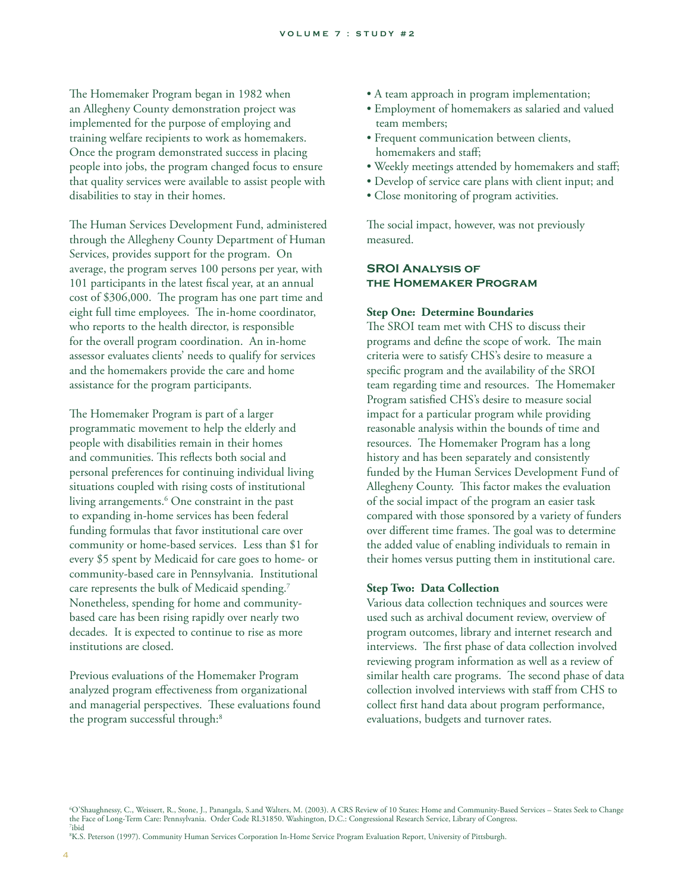The Homemaker Program began in 1982 when an Allegheny County demonstration project was implemented for the purpose of employing and training welfare recipients to work as homemakers. Once the program demonstrated success in placing people into jobs, the program changed focus to ensure that quality services were available to assist people with disabilities to stay in their homes.

The Human Services Development Fund, administered through the Allegheny County Department of Human Services, provides support for the program. On average, the program serves 100 persons per year, with 101 participants in the latest fiscal year, at an annual cost of \$306,000. The program has one part time and eight full time employees. The in-home coordinator, who reports to the health director, is responsible for the overall program coordination. An in-home assessor evaluates clients' needs to qualify for services and the homemakers provide the care and home assistance for the program participants.

The Homemaker Program is part of a larger programmatic movement to help the elderly and people with disabilities remain in their homes and communities. This reflects both social and personal preferences for continuing individual living situations coupled with rising costs of institutional living arrangements.<sup>6</sup> One constraint in the past to expanding in-home services has been federal funding formulas that favor institutional care over community or home-based services. Less than \$1 for every \$5 spent by Medicaid for care goes to home- or community-based care in Pennsylvania. Institutional care represents the bulk of Medicaid spending.<sup>7</sup> Nonetheless, spending for home and communitybased care has been rising rapidly over nearly two decades. It is expected to continue to rise as more institutions are closed.

Previous evaluations of the Homemaker Program analyzed program effectiveness from organizational and managerial perspectives. These evaluations found the program successful through:<sup>8</sup>

- A team approach in program implementation;
- Employment of homemakers as salaried and valued team members;
- Frequent communication between clients, homemakers and staff:
- Weekly meetings attended by homemakers and staff;
- Develop of service care plans with client input; and
- Close monitoring of program activities.

The social impact, however, was not previously measured.

## **SROI Analysis of the Homemaker Program**

#### **Step One: Determine Boundaries**

The SROI team met with CHS to discuss their programs and define the scope of work. The main criteria were to satisfy CHS's desire to measure a specific program and the availability of the SROI team regarding time and resources. The Homemaker Program satisfied CHS's desire to measure social impact for a particular program while providing reasonable analysis within the bounds of time and resources. The Homemaker Program has a long history and has been separately and consistently funded by the Human Services Development Fund of Allegheny County. This factor makes the evaluation of the social impact of the program an easier task compared with those sponsored by a variety of funders over different time frames. The goal was to determine the added value of enabling individuals to remain in their homes versus putting them in institutional care.

#### **Step Two: Data Collection**

Various data collection techniques and sources were used such as archival document review, overview of program outcomes, library and internet research and interviews. The first phase of data collection involved reviewing program information as well as a review of similar health care programs. The second phase of data collection involved interviews with staff from CHS to collect first hand data about program performance, evaluations, budgets and turnover rates.

8 K.S. Peterson (1997). Community Human Services Corporation In-Home Service Program Evaluation Report, University of Pittsburgh.

<sup>6</sup> O'Shaughnessy, C., Weissert, R., Stone, J., Panangala, S.and Walters, M. (2003). A CRS Review of 10 States: Home and Community-Based Services – States Seek to Change the Face of Long-Term Care: Pennsylvania. Order Code RL31850. Washington, D.C.: Congressional Research Service, Library of Congress.<br><sup>7</sup>ibid ibid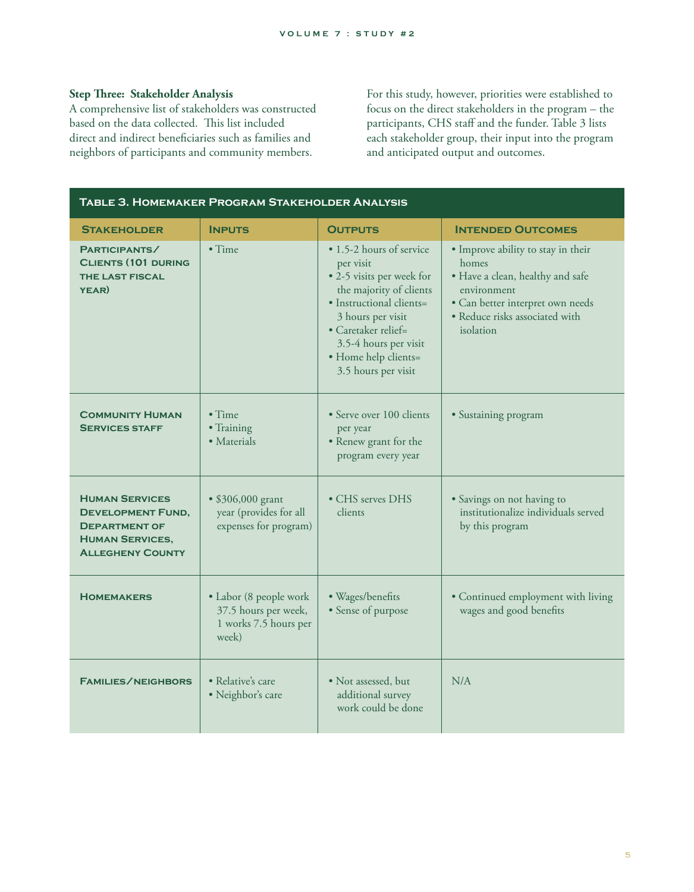# **Step Three: Stakeholder Analysis**

A comprehensive list of stakeholders was constructed based on the data collected. This list included direct and indirect beneficiaries such as families and neighbors of participants and community members.

For this study, however, priorities were established to focus on the direct stakeholders in the program – the participants, CHS staff and the funder. Table 3 lists each stakeholder group, their input into the program and anticipated output and outcomes.

| TABLE 3. HOMEMAKER PROGRAM STAKEHOLDER ANALYSIS                                                                                |                                                                                  |                                                                                                                                                                                                                                               |                                                                                                                                                                                   |
|--------------------------------------------------------------------------------------------------------------------------------|----------------------------------------------------------------------------------|-----------------------------------------------------------------------------------------------------------------------------------------------------------------------------------------------------------------------------------------------|-----------------------------------------------------------------------------------------------------------------------------------------------------------------------------------|
| <b>STAKEHOLDER</b>                                                                                                             | <b>INPUTS</b>                                                                    | <b>OUTPUTS</b>                                                                                                                                                                                                                                | <b>INTENDED OUTCOMES</b>                                                                                                                                                          |
| PARTICIPANTS/<br><b>CLIENTS (101 DURING</b><br><b>THE LAST FISCAL</b><br>YEAR)                                                 | $\bullet$ Time                                                                   | • 1.5-2 hours of service<br>per visit<br>• 2-5 visits per week for<br>the majority of clients<br>· Instructional clients=<br>3 hours per visit<br>• Caretaker relief=<br>3.5-4 hours per visit<br>· Home help clients=<br>3.5 hours per visit | • Improve ability to stay in their<br>homes<br>· Have a clean, healthy and safe<br>environment<br>• Can better interpret own needs<br>· Reduce risks associated with<br>isolation |
| <b>COMMUNITY HUMAN</b><br><b>SERVICES STAFF</b>                                                                                | $\bullet$ Time<br>• Training<br>• Materials                                      | · Serve over 100 clients<br>per year<br>• Renew grant for the<br>program every year                                                                                                                                                           | • Sustaining program                                                                                                                                                              |
| <b>HUMAN SERVICES</b><br><b>DEVELOPMENT FUND,</b><br><b>DEPARTMENT OF</b><br><b>HUMAN SERVICES,</b><br><b>ALLEGHENY COUNTY</b> | • \$306,000 grant<br>year (provides for all<br>expenses for program)             | • CHS serves DHS<br>clients                                                                                                                                                                                                                   | · Savings on not having to<br>institutionalize individuals served<br>by this program                                                                                              |
| <b>HOMEMAKERS</b>                                                                                                              | • Labor (8 people work<br>37.5 hours per week,<br>1 works 7.5 hours per<br>week) | · Wages/benefits<br>• Sense of purpose                                                                                                                                                                                                        | • Continued employment with living<br>wages and good benefits                                                                                                                     |
| <b>FAMILIES/NEIGHBORS</b>                                                                                                      | • Relative's care<br>· Neighbor's care                                           | • Not assessed, but<br>additional survey<br>work could be done                                                                                                                                                                                | N/A                                                                                                                                                                               |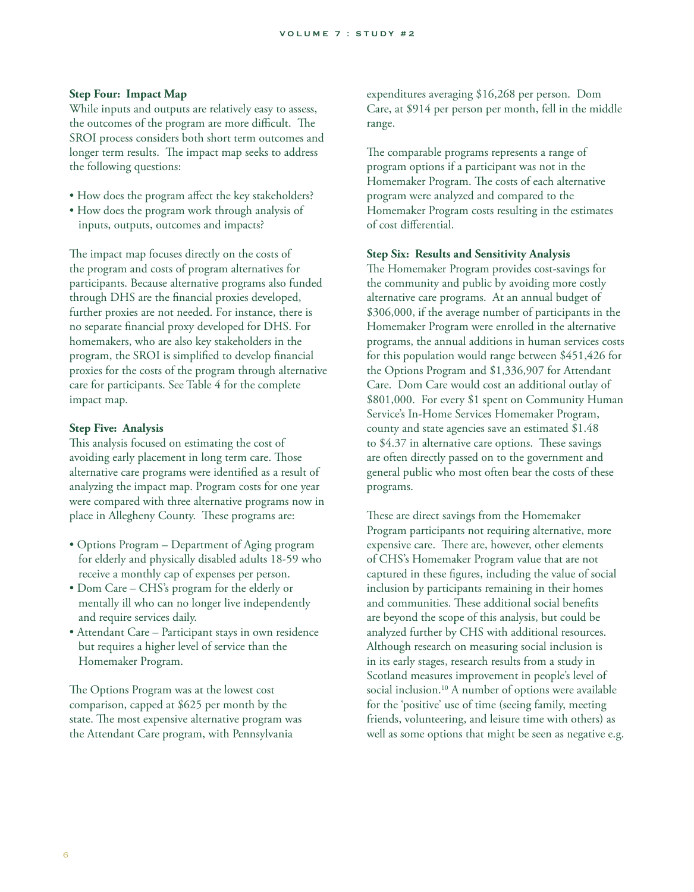### **Step Four: Impact Map**

While inputs and outputs are relatively easy to assess, the outcomes of the program are more difficult. The SROI process considers both short term outcomes and longer term results. The impact map seeks to address the following questions:

- How does the program affect the key stakeholders?
- How does the program work through analysis of inputs, outputs, outcomes and impacts?

The impact map focuses directly on the costs of the program and costs of program alternatives for participants. Because alternative programs also funded through DHS are the financial proxies developed, further proxies are not needed. For instance, there is no separate financial proxy developed for DHS. For homemakers, who are also key stakeholders in the program, the SROI is simplified to develop financial proxies for the costs of the program through alternative care for participants. See Table 4 for the complete impact map.

#### **Step Five: Analysis**

This analysis focused on estimating the cost of avoiding early placement in long term care. Those alternative care programs were identified as a result of analyzing the impact map. Program costs for one year were compared with three alternative programs now in place in Allegheny County. These programs are:

- Options Program Department of Aging program for elderly and physically disabled adults 18-59 who receive a monthly cap of expenses per person.
- Dom Care CHS's program for the elderly or mentally ill who can no longer live independently and require services daily.
- Attendant Care Participant stays in own residence but requires a higher level of service than the Homemaker Program.

The Options Program was at the lowest cost comparison, capped at \$625 per month by the state. The most expensive alternative program was the Attendant Care program, with Pennsylvania

expenditures averaging \$16,268 per person. Dom Care, at \$914 per person per month, fell in the middle range.

The comparable programs represents a range of program options if a participant was not in the Homemaker Program. The costs of each alternative program were analyzed and compared to the Homemaker Program costs resulting in the estimates of cost differential.

#### **Step Six: Results and Sensitivity Analysis**

The Homemaker Program provides cost-savings for the community and public by avoiding more costly alternative care programs. At an annual budget of \$306,000, if the average number of participants in the Homemaker Program were enrolled in the alternative programs, the annual additions in human services costs for this population would range between \$451,426 for the Options Program and \$1,336,907 for Attendant Care. Dom Care would cost an additional outlay of \$801,000. For every \$1 spent on Community Human Service's In-Home Services Homemaker Program, county and state agencies save an estimated \$1.48 to  $$4.37$  in alternative care options. These savings are often directly passed on to the government and general public who most often bear the costs of these programs.

These are direct savings from the Homemaker Program participants not requiring alternative, more expensive care. There are, however, other elements of CHS's Homemaker Program value that are not captured in these figures, including the value of social inclusion by participants remaining in their homes and communities. These additional social benefits are beyond the scope of this analysis, but could be analyzed further by CHS with additional resources. Although research on measuring social inclusion is in its early stages, research results from a study in Scotland measures improvement in people's level of social inclusion.10 A number of options were available for the 'positive' use of time (seeing family, meeting friends, volunteering, and leisure time with others) as well as some options that might be seen as negative e.g.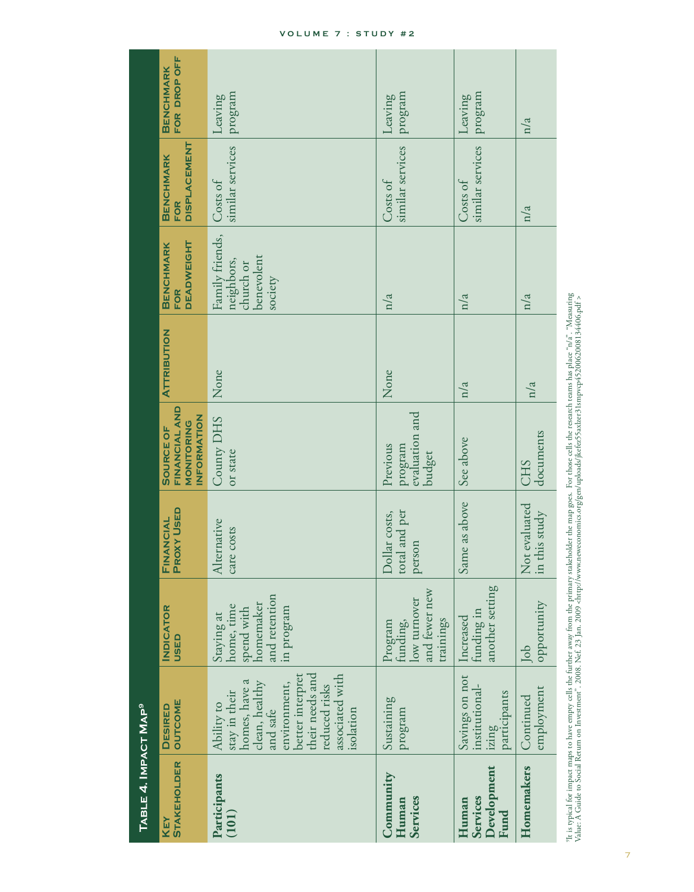| TABLE 4. IMPACT MAP <sup>9 </sup>               |                                                                                                                                                                                       |                                                                                    |                                          |                                                                |                    |                                                                     |                                                       |                                  |
|-------------------------------------------------|---------------------------------------------------------------------------------------------------------------------------------------------------------------------------------------|------------------------------------------------------------------------------------|------------------------------------------|----------------------------------------------------------------|--------------------|---------------------------------------------------------------------|-------------------------------------------------------|----------------------------------|
| <b>STAKEHOLDER</b><br>KEY                       | <b>OUTCOME</b><br><b>DESIRED</b>                                                                                                                                                      | <b>INDICATOR</b><br><b>Q3SU</b>                                                    | <b>PROXY USED</b><br>FINANCIAL           | FINANCIAL AND<br>INFORMATION<br>MONITORING<br><b>SOURCE OF</b> | <b>ATTRIBUTION</b> | <b>DEADWEIGHT</b><br><b>BENCHMARK</b><br><b>FOR</b>                 | <b>DISPLACEMENT</b><br><b>BENCHMARK</b><br><b>FOR</b> | FOR DROP OFF<br><b>BENCHMARK</b> |
| Participants<br>(101)                           | their needs and<br>better interpret<br>associated with<br>ß<br>clean, healthy<br>environment,<br>reduced risks<br>homes, have<br>stay in their<br>Ability to<br>and safe<br>isolation | and retention<br>homemaker<br>home, time<br>in program<br>spend with<br>Staying at | Alternative<br>care costs                | County DHS<br>or state                                         | None               | Family friends,<br>benevolent<br>neighbors,<br>church or<br>society | similar services<br>Costs of                          | program<br>Leaving               |
| Community<br><b>Services</b><br>Human           | Sustaining<br>program                                                                                                                                                                 | and fewer new<br>low turnover<br>trainings<br>Program<br>funding,                  | total and per<br>Dollar costs,<br>person | program<br>evaluation and<br>Previous<br><b>budget</b>         | None               | n/a                                                                 | similar services<br>Costs of                          | program<br>Leaving               |
| Development<br><b>Services</b><br>Human<br>Fund | Savings on not<br>institutional-<br>participants<br>izing                                                                                                                             | another setting<br>funding in<br>Increased                                         | Same as above                            | See above                                                      | n/a                | n/a                                                                 | similar services<br>Costs of                          | program<br>Leaving               |
| Homemakers                                      | employment<br>Continued                                                                                                                                                               | opportunity<br>Job                                                                 | Not evaluated<br>in this study           | documents<br><b>CHS</b>                                        | n/a                | n/a                                                                 | n/a                                                   | n/a                              |

"It is typical for impact maps to have empty cells the further away from the primary stakeholder the map goes. For those cells the research teams has place "n/a". "Measuring<br>Value: A Guide to Social Return on Investment". PL is typical for impact maps to have empty cells the further away from the primary stakeholder the map goes. For those cells the research teams has place "n/a". "Measuring Value: A Guide to Social Return on Investment". 2008. Nef. 23 Jan. 2009 <http://www.neweconomics.org/gen/uploads/jkefez55axlzer31smpvcp4520062008134406.pdf >

#### **VOLUME 7 : STUDY #2**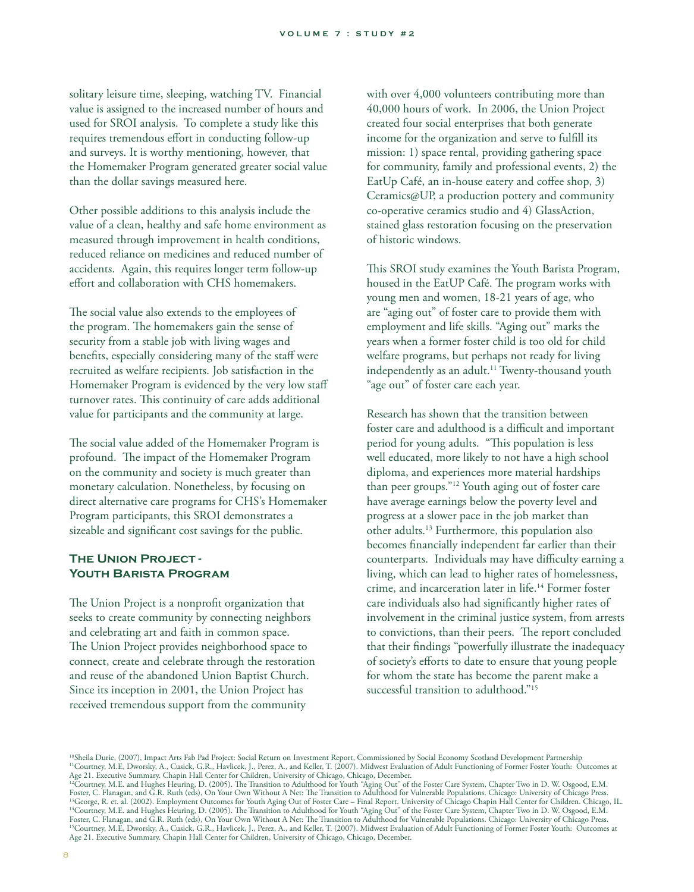solitary leisure time, sleeping, watching TV. Financial value is assigned to the increased number of hours and used for SROI analysis. To complete a study like this requires tremendous effort in conducting follow-up and surveys. It is worthy mentioning, however, that the Homemaker Program generated greater social value than the dollar savings measured here.

Other possible additions to this analysis include the value of a clean, healthy and safe home environment as measured through improvement in health conditions, reduced reliance on medicines and reduced number of accidents. Again, this requires longer term follow-up effort and collaboration with CHS homemakers.

The social value also extends to the employees of the program. The homemakers gain the sense of security from a stable job with living wages and benefits, especially considering many of the staff were recruited as welfare recipients. Job satisfaction in the Homemaker Program is evidenced by the very low staff turnover rates. This continuity of care adds additional value for participants and the community at large.

The social value added of the Homemaker Program is profound. The impact of the Homemaker Program on the community and society is much greater than monetary calculation. Nonetheless, by focusing on direct alternative care programs for CHS's Homemaker Program participants, this SROI demonstrates a sizeable and significant cost savings for the public.

# **The Union Project - Youth Barista Program**

The Union Project is a nonprofit organization that seeks to create community by connecting neighbors and celebrating art and faith in common space. The Union Project provides neighborhood space to connect, create and celebrate through the restoration and reuse of the abandoned Union Baptist Church. Since its inception in 2001, the Union Project has received tremendous support from the community

with over 4,000 volunteers contributing more than 40,000 hours of work. In 2006, the Union Project created four social enterprises that both generate income for the organization and serve to fulfill its mission: 1) space rental, providing gathering space for community, family and professional events, 2) the EatUp Café, an in-house eatery and coffee shop, 3) Ceramics@UP, a production pottery and community co-operative ceramics studio and 4) GlassAction, stained glass restoration focusing on the preservation of historic windows.

This SROI study examines the Youth Barista Program, housed in the EatUP Café. The program works with young men and women, 18-21 years of age, who are "aging out" of foster care to provide them with employment and life skills. "Aging out" marks the years when a former foster child is too old for child welfare programs, but perhaps not ready for living independently as an adult.<sup>11</sup> Twenty-thousand youth "age out" of foster care each year.

Research has shown that the transition between foster care and adulthood is a difficult and important period for young adults. "This population is less well educated, more likely to not have a high school diploma, and experiences more material hardships than peer groups."12 Youth aging out of foster care have average earnings below the poverty level and progress at a slower pace in the job market than other adults.13 Furthermore, this population also becomes financially independent far earlier than their counterparts. Individuals may have difficulty earning a living, which can lead to higher rates of homelessness, crime, and incarceration later in life.14 Former foster care individuals also had significantly higher rates of involvement in the criminal justice system, from arrests to convictions, than their peers. The report concluded that their findings "powerfully illustrate the inadequacy of society's efforts to date to ensure that young people for whom the state has become the parent make a successful transition to adulthood."15

10Sheila Durie, (2007), Impact Arts Fab Pad Project: Social Return on Investment Report, Commissioned by Social Economy Scotland Development Partnership <sup>11</sup>Courtney, M.E, Dworsky, A., Cusick, G.R., Havlicek, J., Perez, A., and Keller, T. (2007). Midwest Evaluation of Adult Functioning of Former Foster Youth: Outcomes at Age 21. Executive Summary. Chapin Hall Center for Children, University of Chicago, Chicago, December.<br><sup>12</sup>Courtney, M.E. and Hughes Heuring, D. (2005). The Transition to Adulthood for Youth "Aging Out" of the Foster Care S

Foster, C. Flanagan, and G.R. Ruth (eds), On Your Own Without A Net: The Transition to Adulthood for Vulnerable Populations. Chicago: University of Chicago Press.<br><sup>13</sup>George, R. et. al. (2002). Employment Outcomes for Yout <sup>14</sup>Courtney, M.E. and Hughes Heuring, D. (2005). The Transition to Adulthood for Youth "Aging Out" of the Foster Care System, Chapter Two in D. W. Osgood, E.M. Foster, C. Flanagan, and G.R. Ruth (eds), On Your Own Without A Net: The Transition to Adulthood for Vulnerable Populations. Chicago: University of Chicago Press.<br><sup>15</sup>Courtney, M.E. Dworsky, A., Cusick, G.R., Havlicek, J., Age 21. Executive Summary. Chapin Hall Center for Children, University of Chicago, Chicago, December.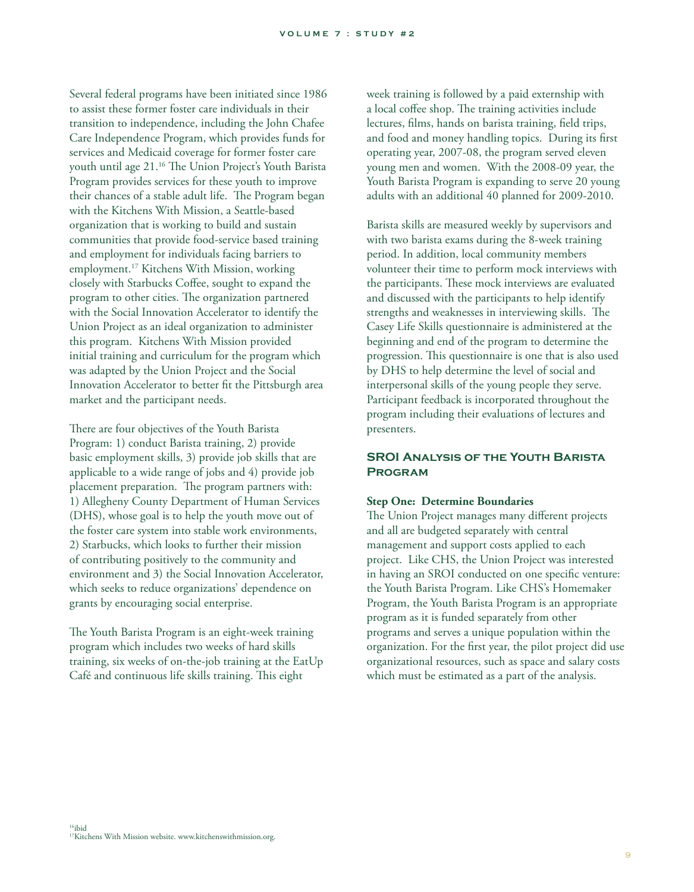Several federal programs have been initiated since 1986 to assist these former foster care individuals in their transition to independence, including the John Chafee Care Independence Program, which provides funds for services and Medicaid coverage for former foster care youth until age 21.<sup>16</sup> The Union Project's Youth Barista Program provides services for these youth to improve their chances of a stable adult life. The Program began with the Kitchens With Mission, a Seattle-based organization that is working to build and sustain communities that provide food-service based training and employment for individuals facing barriers to employment.17 Kitchens With Mission, working closely with Starbucks Coffee, sought to expand the program to other cities. The organization partnered with the Social Innovation Accelerator to identify the Union Project as an ideal organization to administer this program. Kitchens With Mission provided initial training and curriculum for the program which was adapted by the Union Project and the Social Innovation Accelerator to better fit the Pittsburgh area market and the participant needs.

There are four objectives of the Youth Barista Program: 1) conduct Barista training, 2) provide basic employment skills, 3) provide job skills that are applicable to a wide range of jobs and 4) provide job placement preparation. The program partners with: 1) Allegheny County Department of Human Services (DHS), whose goal is to help the youth move out of the foster care system into stable work environments, 2) Starbucks, which looks to further their mission of contributing positively to the community and environment and 3) the Social Innovation Accelerator, which seeks to reduce organizations' dependence on grants by encouraging social enterprise.

The Youth Barista Program is an eight-week training program which includes two weeks of hard skills training, six weeks of on-the-job training at the EatUp Café and continuous life skills training. This eight

week training is followed by a paid externship with a local coffee shop. The training activities include lectures, films, hands on barista training, field trips, and food and money handling topics. During its first operating year, 2007-08, the program served eleven young men and women. With the 2008-09 year, the Youth Barista Program is expanding to serve 20 young adults with an additional 40 planned for 2009-2010.

Barista skills are measured weekly by supervisors and with two barista exams during the 8-week training period. In addition, local community members volunteer their time to perform mock interviews with the participants. These mock interviews are evaluated and discussed with the participants to help identify strengths and weaknesses in interviewing skills. The Casey Life Skills questionnaire is administered at the beginning and end of the program to determine the progression. This questionnaire is one that is also used by DHS to help determine the level of social and interpersonal skills of the young people they serve. Participant feedback is incorporated throughout the program including their evaluations of lectures and presenters.

# **SROI Analysis of the Youth Barista Program**

#### **Step One: Determine Boundaries**

The Union Project manages many different projects and all are budgeted separately with central management and support costs applied to each project. Like CHS, the Union Project was interested in having an SROI conducted on one specific venture: the Youth Barista Program. Like CHS's Homemaker Program, the Youth Barista Program is an appropriate program as it is funded separately from other programs and serves a unique population within the organization. For the first year, the pilot project did use organizational resources, such as space and salary costs which must be estimated as a part of the analysis.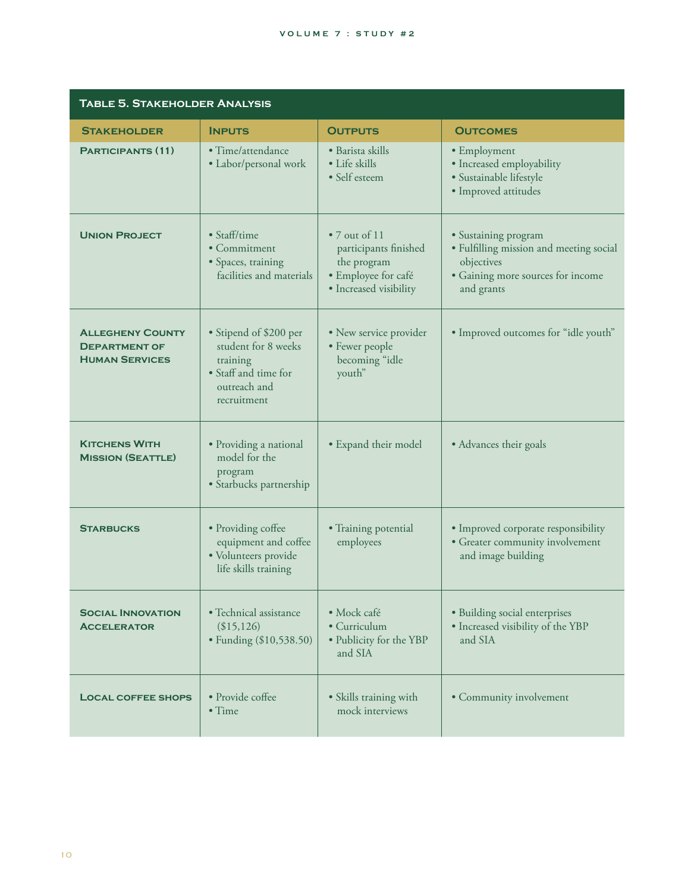#### **VOLUME 7 : STUDY #2**

| <b>TABLE 5. STAKEHOLDER ANALYSIS</b>                                     |                                                                                                                  |                                                                                                                |                                                                                                                                  |
|--------------------------------------------------------------------------|------------------------------------------------------------------------------------------------------------------|----------------------------------------------------------------------------------------------------------------|----------------------------------------------------------------------------------------------------------------------------------|
| <b>STAKEHOLDER</b>                                                       | <b>INPUTS</b>                                                                                                    | <b>OUTPUTS</b>                                                                                                 | <b>OUTCOMES</b>                                                                                                                  |
| <b>PARTICIPANTS (11)</b>                                                 | • Time/attendance<br>• Labor/personal work                                                                       | · Barista skills<br>• Life skills<br>• Self esteem                                                             | • Employment<br>· Increased employability<br>· Sustainable lifestyle<br>· Improved attitudes                                     |
| <b>UNION PROJECT</b>                                                     | • Staff/time<br>$\bullet$ Commitment<br>· Spaces, training<br>facilities and materials                           | $\bullet$ 7 out of 11<br>participants finished<br>the program<br>· Employee for café<br>• Increased visibility | · Sustaining program<br>• Fulfilling mission and meeting social<br>objectives<br>· Gaining more sources for income<br>and grants |
| <b>ALLEGHENY COUNTY</b><br><b>DEPARTMENT OF</b><br><b>HUMAN SERVICES</b> | • Stipend of \$200 per<br>student for 8 weeks<br>training<br>• Staff and time for<br>outreach and<br>recruitment | • New service provider<br>• Fewer people<br>becoming "idle<br>youth"                                           | • Improved outcomes for "idle youth"                                                                                             |
| <b>KITCHENS WITH</b><br><b>MISSION (SEATTLE)</b>                         | · Providing a national<br>model for the<br>program<br>· Starbucks partnership                                    | • Expand their model                                                                                           | • Advances their goals                                                                                                           |
| <b>STARBUCKS</b>                                                         | • Providing coffee<br>equipment and coffee<br>· Volunteers provide<br>life skills training                       | · Training potential<br>employees                                                                              | • Improved corporate responsibility<br>• Greater community involvement<br>and image building                                     |
| <b>SOCIAL INNOVATION</b><br><b>ACCELERATOR</b>                           | • Technical assistance<br>(\$15,126)<br>• Funding (\$10,538.50)                                                  | · Mock café<br>• Curriculum<br>• Publicity for the YBP<br>and SIA                                              | · Building social enterprises<br>· Increased visibility of the YBP<br>and SIA                                                    |
| <b>LOCAL COFFEE SHOPS</b>                                                | • Provide coffee<br>$\bullet$ Time                                                                               | • Skills training with<br>mock interviews                                                                      | • Community involvement                                                                                                          |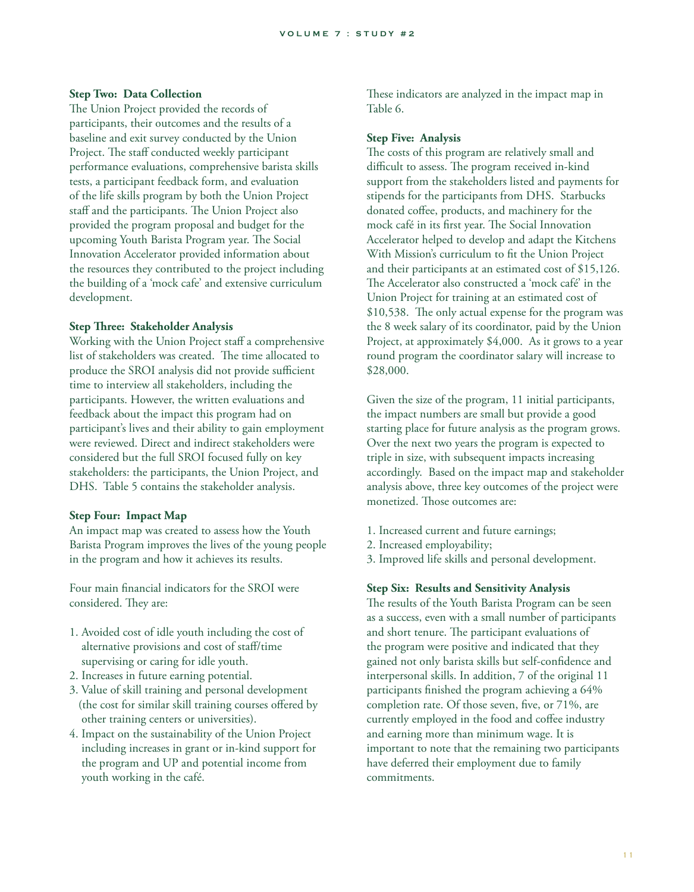#### **Step Two: Data Collection**

The Union Project provided the records of participants, their outcomes and the results of a baseline and exit survey conducted by the Union Project. The staff conducted weekly participant performance evaluations, comprehensive barista skills tests, a participant feedback form, and evaluation of the life skills program by both the Union Project staff and the participants. The Union Project also provided the program proposal and budget for the upcoming Youth Barista Program year. The Social Innovation Accelerator provided information about the resources they contributed to the project including the building of a 'mock cafe' and extensive curriculum development.

#### **Step Three: Stakeholder Analysis**

Working with the Union Project staff a comprehensive list of stakeholders was created. The time allocated to produce the SROI analysis did not provide sufficient time to interview all stakeholders, including the participants. However, the written evaluations and feedback about the impact this program had on participant's lives and their ability to gain employment were reviewed. Direct and indirect stakeholders were considered but the full SROI focused fully on key stakeholders: the participants, the Union Project, and DHS. Table 5 contains the stakeholder analysis.

#### **Step Four: Impact Map**

An impact map was created to assess how the Youth Barista Program improves the lives of the young people in the program and how it achieves its results.

Four main financial indicators for the SROI were considered. They are:

- 1. Avoided cost of idle youth including the cost of alternative provisions and cost of staff/time supervising or caring for idle youth.
- 2. Increases in future earning potential.
- 3. Value of skill training and personal development (the cost for similar skill training courses offered by other training centers or universities).
- 4. Impact on the sustainability of the Union Project including increases in grant or in-kind support for the program and UP and potential income from youth working in the café.

These indicators are analyzed in the impact map in Table 6.

#### **Step Five: Analysis**

The costs of this program are relatively small and difficult to assess. The program received in-kind support from the stakeholders listed and payments for stipends for the participants from DHS. Starbucks donated coffee, products, and machinery for the mock café in its first year. The Social Innovation Accelerator helped to develop and adapt the Kitchens With Mission's curriculum to fit the Union Project and their participants at an estimated cost of \$15,126. The Accelerator also constructed a 'mock café' in the Union Project for training at an estimated cost of \$10,538. The only actual expense for the program was the 8 week salary of its coordinator, paid by the Union Project, at approximately \$4,000. As it grows to a year round program the coordinator salary will increase to \$28,000.

Given the size of the program, 11 initial participants, the impact numbers are small but provide a good starting place for future analysis as the program grows. Over the next two years the program is expected to triple in size, with subsequent impacts increasing accordingly. Based on the impact map and stakeholder analysis above, three key outcomes of the project were monetized. Those outcomes are:

- 1. Increased current and future earnings;
- 2. Increased employability;
- 3. Improved life skills and personal development.

#### **Step Six: Results and Sensitivity Analysis**

The results of the Youth Barista Program can be seen as a success, even with a small number of participants and short tenure. The participant evaluations of the program were positive and indicated that they gained not only barista skills but self-confidence and interpersonal skills. In addition, 7 of the original 11 participants finished the program achieving a 64% completion rate. Of those seven, five, or 71%, are currently employed in the food and coffee industry and earning more than minimum wage. It is important to note that the remaining two participants have deferred their employment due to family commitments.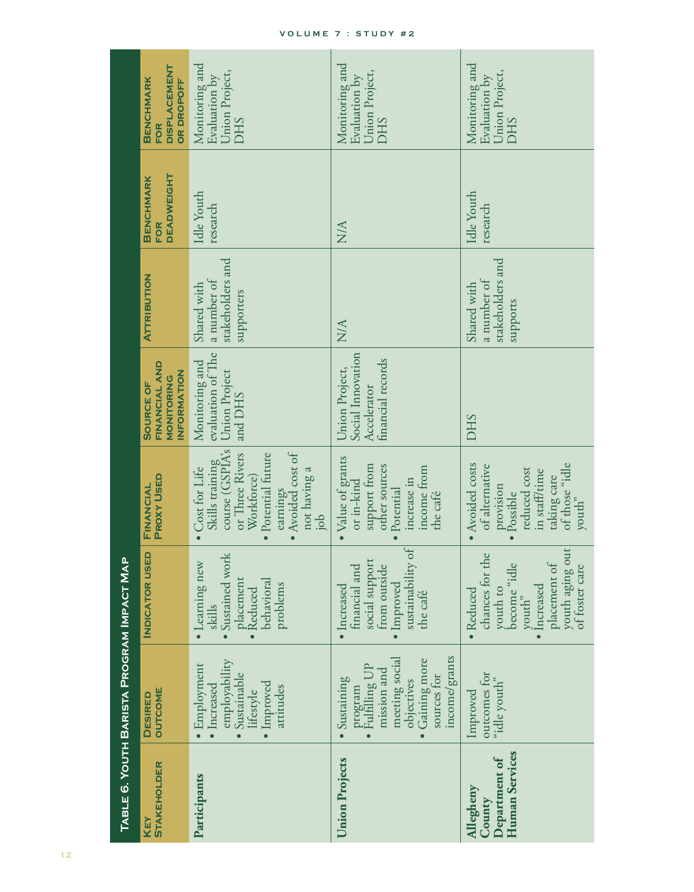|                                                        | TABLE 6. YOUTH BARISTA PROGRAM IMPACT MAP                                                                                             |                                                                                                                                      |                                                                                                                                                                           |                                                                                |                                                              |                                              |                                                                            |
|--------------------------------------------------------|---------------------------------------------------------------------------------------------------------------------------------------|--------------------------------------------------------------------------------------------------------------------------------------|---------------------------------------------------------------------------------------------------------------------------------------------------------------------------|--------------------------------------------------------------------------------|--------------------------------------------------------------|----------------------------------------------|----------------------------------------------------------------------------|
| <b>STAKEHOLDER</b><br>KEY                              | <b>OUTCOME</b><br><b>DESIRED</b>                                                                                                      | INDICATOR USED                                                                                                                       | <b>PROXY USED</b><br>FINANCIAL                                                                                                                                            | FINANCIAL AND<br><b>INFORMATION</b><br>MONITORING<br><b>SOURCE OF</b>          | <b>ATTRIBUTION</b>                                           | <b>DEADWEIGHT</b><br><b>BENCHMARK</b><br>FOR | <b>DISPLACEMENT</b><br><b>BENCHMARK</b><br><b>OR DROPOFF</b><br><b>FOR</b> |
| Participants                                           | employability<br>Employment<br>Sustainable<br>Improved<br>· Increased<br>attitudes<br>lifestyle                                       | Sustained work<br>Learning new<br>placement<br>behavioral<br>problems<br><b>Reduced</b><br>skills                                    | course (GSPIA's<br>Avoided cost of<br>Potential future<br>or Three Rivers<br>Skills training<br>Cost for Life<br>not having a<br>Workforce)<br>earnings<br>$\overline{a}$ | evaluation of The<br>Monitoring and<br>Union Project<br>and DHS                | stakeholders and<br>a number of<br>Shared with<br>supporters | Idle Youth<br>research                       | Monitoring and<br>Union Project,<br>Evaluation by<br><b>DHS</b>            |
| <b>Union Projects</b>                                  | income/grants<br>meeting social<br>Gaining more<br>Fulfilling UP<br>mission and<br>sources for<br>Sustaining<br>objectives<br>program | sustainability of<br>social support<br>financial and<br>from outside<br>Improved<br>· Increased<br>the café                          | Value of grants<br>support from<br>other sources<br>income from<br>increase in<br>or in-kind<br>Potential<br>the café                                                     | Social Innovation<br>financial records<br>Union Project,<br><b>Accelerator</b> | NA                                                           | <b>N/A</b>                                   | Monitoring and<br>Union Project,<br>Evaluation by<br><b>DHS</b>            |
| Human Services<br>Department of<br>Allegheny<br>County | outcomes for<br>"idle youth"<br>Improved                                                                                              | youth aging out<br>chances for the<br>placement of<br>become "idle<br>of foster care<br>Increased<br>youth to<br>· Reduced<br>youth" | Avoided costs<br>of those "idle<br>of alternative<br>reduced cost<br>in staff/time<br>taking care<br>provision<br>Possible<br>youth"                                      | <b>DHS</b>                                                                     | stakeholders and<br>a number of<br>Shared with<br>supports   | Idle Youth<br>research                       | Monitoring and<br>Union Project,<br>Evaluation by<br><b>DHS</b>            |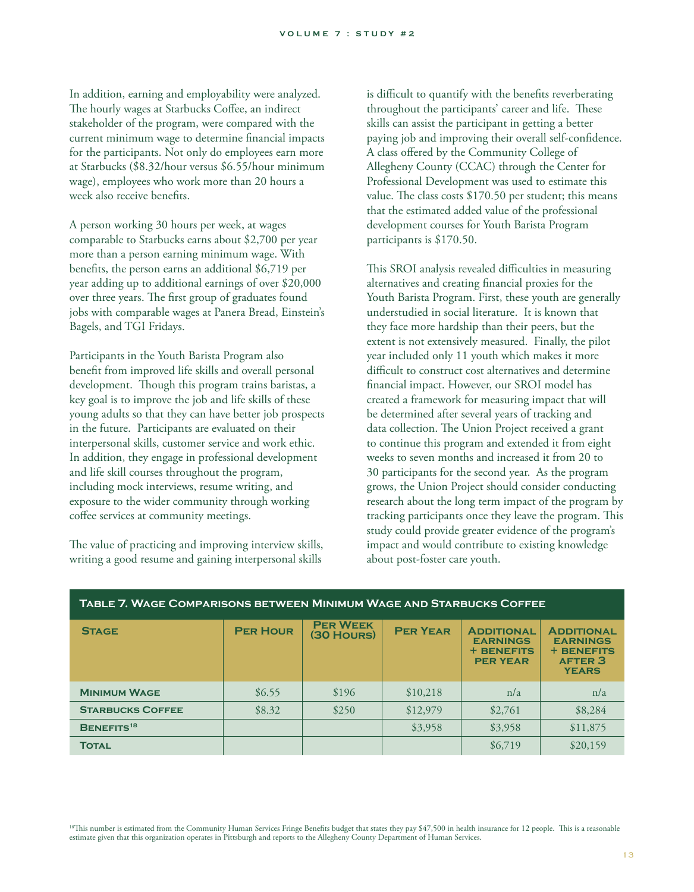In addition, earning and employability were analyzed. The hourly wages at Starbucks Coffee, an indirect stakeholder of the program, were compared with the current minimum wage to determine financial impacts for the participants. Not only do employees earn more at Starbucks (\$8.32/hour versus \$6.55/hour minimum wage), employees who work more than 20 hours a week also receive benefits.

A person working 30 hours per week, at wages comparable to Starbucks earns about \$2,700 per year more than a person earning minimum wage. With benefits, the person earns an additional \$6,719 per year adding up to additional earnings of over \$20,000 over three years. The first group of graduates found jobs with comparable wages at Panera Bread, Einstein's Bagels, and TGI Fridays.

Participants in the Youth Barista Program also benefit from improved life skills and overall personal development. Though this program trains baristas, a key goal is to improve the job and life skills of these young adults so that they can have better job prospects in the future. Participants are evaluated on their interpersonal skills, customer service and work ethic. In addition, they engage in professional development and life skill courses throughout the program, including mock interviews, resume writing, and exposure to the wider community through working coffee services at community meetings.

The value of practicing and improving interview skills, writing a good resume and gaining interpersonal skills

is difficult to quantify with the benefits reverberating throughout the participants' career and life. These skills can assist the participant in getting a better paying job and improving their overall self-confidence. A class offered by the Community College of Allegheny County (CCAC) through the Center for Professional Development was used to estimate this value. The class costs  $$170.50$  per student; this means that the estimated added value of the professional development courses for Youth Barista Program participants is \$170.50.

This SROI analysis revealed difficulties in measuring alternatives and creating financial proxies for the Youth Barista Program. First, these youth are generally understudied in social literature. It is known that they face more hardship than their peers, but the extent is not extensively measured. Finally, the pilot year included only 11 youth which makes it more difficult to construct cost alternatives and determine financial impact. However, our SROI model has created a framework for measuring impact that will be determined after several years of tracking and data collection. The Union Project received a grant to continue this program and extended it from eight weeks to seven months and increased it from 20 to 30 participants for the second year. As the program grows, the Union Project should consider conducting research about the long term impact of the program by tracking participants once they leave the program. This study could provide greater evidence of the program's impact and would contribute to existing knowledge about post-foster care youth.

| <b>STAGE</b>            | <b>PER HOUR</b> | <b>PER WEEK</b><br>(30 HOURS) | <b>PER YEAR</b> | <b>ADDITIONAL</b><br><b>EARNINGS</b><br><b>+ BENEFITS</b><br><b>PER YEAR</b> | <b>ADDITIONAL</b><br><b>EARNINGS</b><br><b>+ BENEFITS</b><br><b>AFTER 3</b><br><b>YEARS</b> |
|-------------------------|-----------------|-------------------------------|-----------------|------------------------------------------------------------------------------|---------------------------------------------------------------------------------------------|
| <b>MINIMUM WAGE</b>     | \$6.55          | \$196                         | \$10,218        | n/a                                                                          | n/a                                                                                         |
| <b>STARBUCKS COFFEE</b> | \$8.32          | \$250                         | \$12,979        | \$2,761                                                                      | \$8,284                                                                                     |
| BENEFITS <sup>18</sup>  |                 |                               | \$3,958         | \$3,958                                                                      | \$11,875                                                                                    |
| <b>TOTAL</b>            |                 |                               |                 | \$6,719                                                                      | \$20,159                                                                                    |

#### **Table 7. Wage Comparisons between Minimum Wage and Starbucks Coffee**

<sup>18</sup>This number is estimated from the Community Human Services Fringe Benefits budget that states they pay \$47,500 in health insurance for 12 people. This is a reasonable estimate given that this organization operates in Pittsburgh and reports to the Allegheny County Department of Human Services.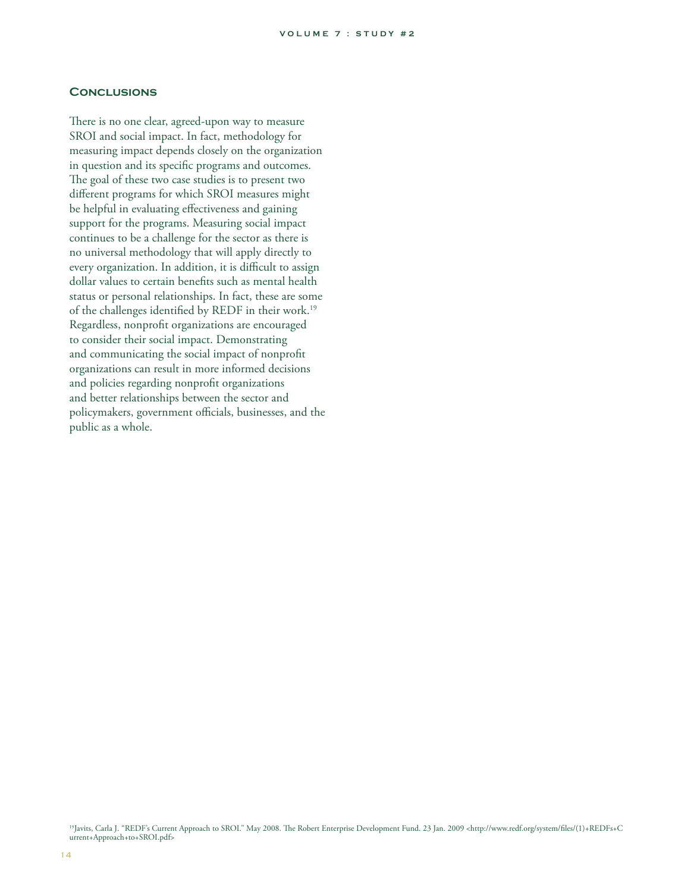#### **Conclusions**

There is no one clear, agreed-upon way to measure SROI and social impact. In fact, methodology for measuring impact depends closely on the organization in question and its specific programs and outcomes. The goal of these two case studies is to present two different programs for which SROI measures might be helpful in evaluating effectiveness and gaining support for the programs. Measuring social impact continues to be a challenge for the sector as there is no universal methodology that will apply directly to every organization. In addition, it is difficult to assign dollar values to certain benefits such as mental health status or personal relationships. In fact, these are some of the challenges identified by REDF in their work.<sup>19</sup> Regardless, nonprofit organizations are encouraged to consider their social impact. Demonstrating and communicating the social impact of nonprofit organizations can result in more informed decisions and policies regarding nonprofit organizations and better relationships between the sector and policymakers, government officials, businesses, and the public as a whole.

<sup>19</sup>Javits, Carla J. "REDF's Current Approach to SROI." May 2008. The Robert Enterprise Development Fund. 23 Jan. 2009 <http://www.redf.org/system/files/(1)+REDFs+C urrent+Approach+to+SROI.pdf>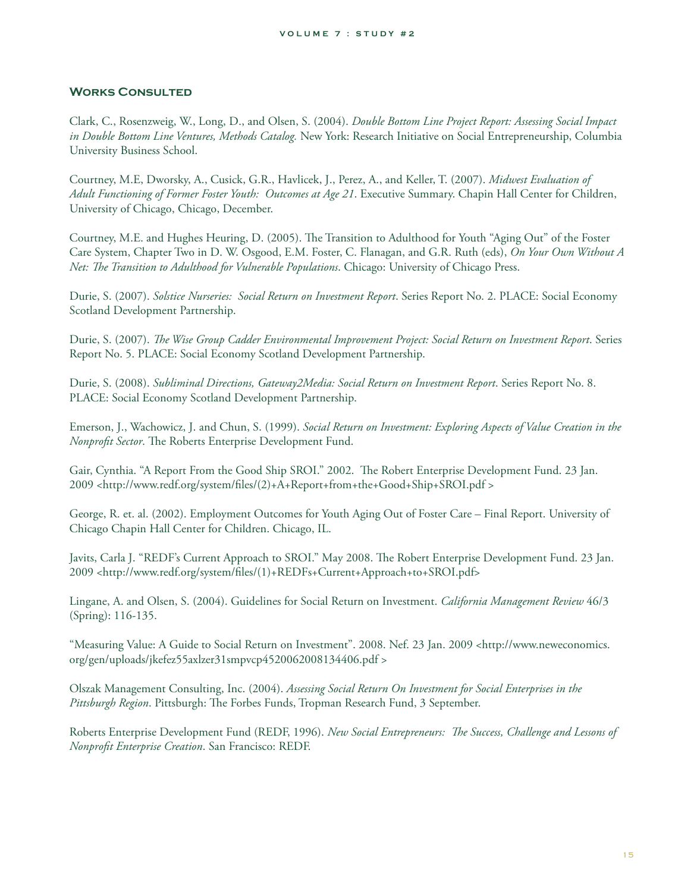### **Works Consulted**

Clark, C., Rosenzweig, W., Long, D., and Olsen, S. (2004). *Double Bottom Line Project Report: Assessing Social Impact in Double Bottom Line Ventures, Methods Catalog.* New York: Research Initiative on Social Entrepreneurship, Columbia University Business School.

Courtney, M.E, Dworsky, A., Cusick, G.R., Havlicek, J., Perez, A., and Keller, T. (2007). *Midwest Evaluation of Adult Functioning of Former Foster Youth: Outcomes at Age 21*. Executive Summary. Chapin Hall Center for Children, University of Chicago, Chicago, December.

Courtney, M.E. and Hughes Heuring, D. (2005). The Transition to Adulthood for Youth "Aging Out" of the Foster Care System, Chapter Two in D. W. Osgood, E.M. Foster, C. Flanagan, and G.R. Ruth (eds), *On Your Own Without A Net: The Transition to Adulthood for Vulnerable Populations*. Chicago: University of Chicago Press.

Durie, S. (2007). *Solstice Nurseries: Social Return on Investment Report*. Series Report No. 2. PLACE: Social Economy Scotland Development Partnership.

Durie, S. (2007). *The Wise Group Cadder Environmental Improvement Project: Social Return on Investment Report*. Series Report No. 5. PLACE: Social Economy Scotland Development Partnership.

Durie, S. (2008). *Subliminal Directions, Gateway2Media: Social Return on Investment Report*. Series Report No. 8. PLACE: Social Economy Scotland Development Partnership.

Emerson, J., Wachowicz, J. and Chun, S. (1999). *Social Return on Investment: Exploring Aspects of Value Creation in the Nonprofit Sector*. The Roberts Enterprise Development Fund.

Gair, Cynthia. "A Report From the Good Ship SROI." 2002. The Robert Enterprise Development Fund. 23 Jan. 2009 <http://www.redf.org/system/files/(2)+A+Report+from+the+Good+Ship+SROI.pdf >

George, R. et. al. (2002). Employment Outcomes for Youth Aging Out of Foster Care – Final Report. University of Chicago Chapin Hall Center for Children. Chicago, IL.

Javits, Carla J. "REDF's Current Approach to SROI." May 2008. The Robert Enterprise Development Fund. 23 Jan. 2009 <http://www.redf.org/system/files/(1)+REDFs+Current+Approach+to+SROI.pdf>

Lingane, A. and Olsen, S. (2004). Guidelines for Social Return on Investment. *California Management Review* 46/3 (Spring): 116-135.

"Measuring Value: A Guide to Social Return on Investment". 2008. Nef. 23 Jan. 2009 <http://www.neweconomics. org/gen/uploads/jkefez55axlzer31smpvcp4520062008134406.pdf >

Olszak Management Consulting, Inc. (2004). *Assessing Social Return On Investment for Social Enterprises in the*  Pittsburgh Region. Pittsburgh: The Forbes Funds, Tropman Research Fund, 3 September.

Roberts Enterprise Development Fund (REDF, 1996). *New Social Entrepreneurs: The Success, Challenge and Lessons of Nonprofi t Enterprise Creation*. San Francisco: REDF.